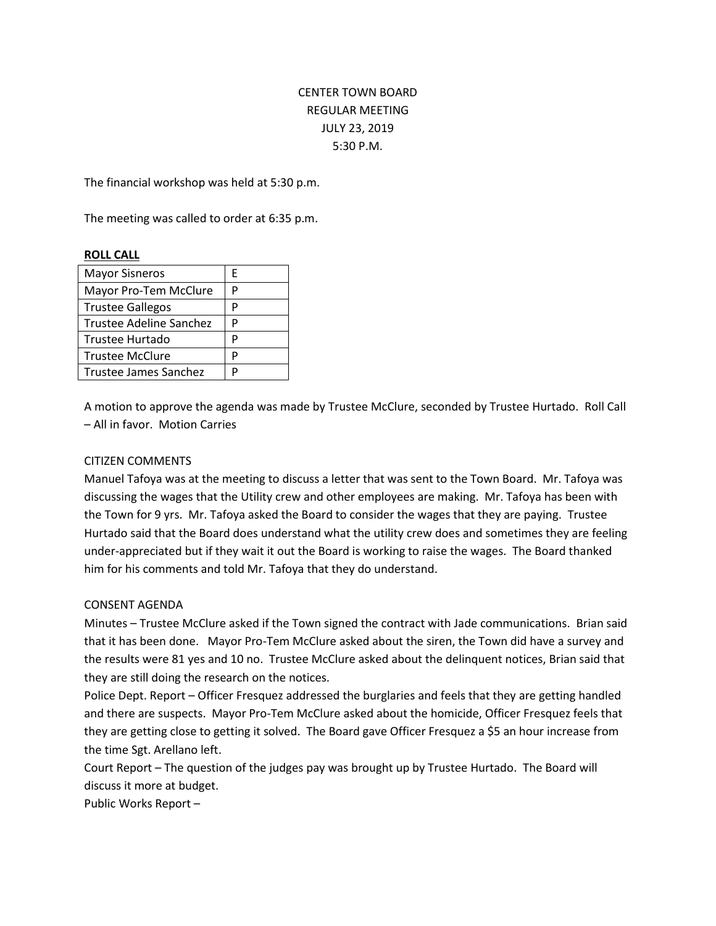# CENTER TOWN BOARD REGULAR MEETING JULY 23, 2019 5:30 P.M.

The financial workshop was held at 5:30 p.m.

The meeting was called to order at 6:35 p.m.

# **ROLL CALL**

| <b>Mayor Sisneros</b>   | F |
|-------------------------|---|
| Mayor Pro-Tem McClure   | P |
| <b>Trustee Gallegos</b> | P |
| Trustee Adeline Sanchez | P |
| Trustee Hurtado         | P |
| <b>Trustee McClure</b>  | P |
| Trustee James Sanchez   | D |

A motion to approve the agenda was made by Trustee McClure, seconded by Trustee Hurtado. Roll Call – All in favor. Motion Carries

#### CITIZEN COMMENTS

Manuel Tafoya was at the meeting to discuss a letter that was sent to the Town Board. Mr. Tafoya was discussing the wages that the Utility crew and other employees are making. Mr. Tafoya has been with the Town for 9 yrs. Mr. Tafoya asked the Board to consider the wages that they are paying. Trustee Hurtado said that the Board does understand what the utility crew does and sometimes they are feeling under-appreciated but if they wait it out the Board is working to raise the wages. The Board thanked him for his comments and told Mr. Tafoya that they do understand.

#### CONSENT AGENDA

Minutes – Trustee McClure asked if the Town signed the contract with Jade communications. Brian said that it has been done. Mayor Pro-Tem McClure asked about the siren, the Town did have a survey and the results were 81 yes and 10 no. Trustee McClure asked about the delinquent notices, Brian said that they are still doing the research on the notices.

Police Dept. Report – Officer Fresquez addressed the burglaries and feels that they are getting handled and there are suspects. Mayor Pro-Tem McClure asked about the homicide, Officer Fresquez feels that they are getting close to getting it solved. The Board gave Officer Fresquez a \$5 an hour increase from the time Sgt. Arellano left.

Court Report – The question of the judges pay was brought up by Trustee Hurtado. The Board will discuss it more at budget.

Public Works Report –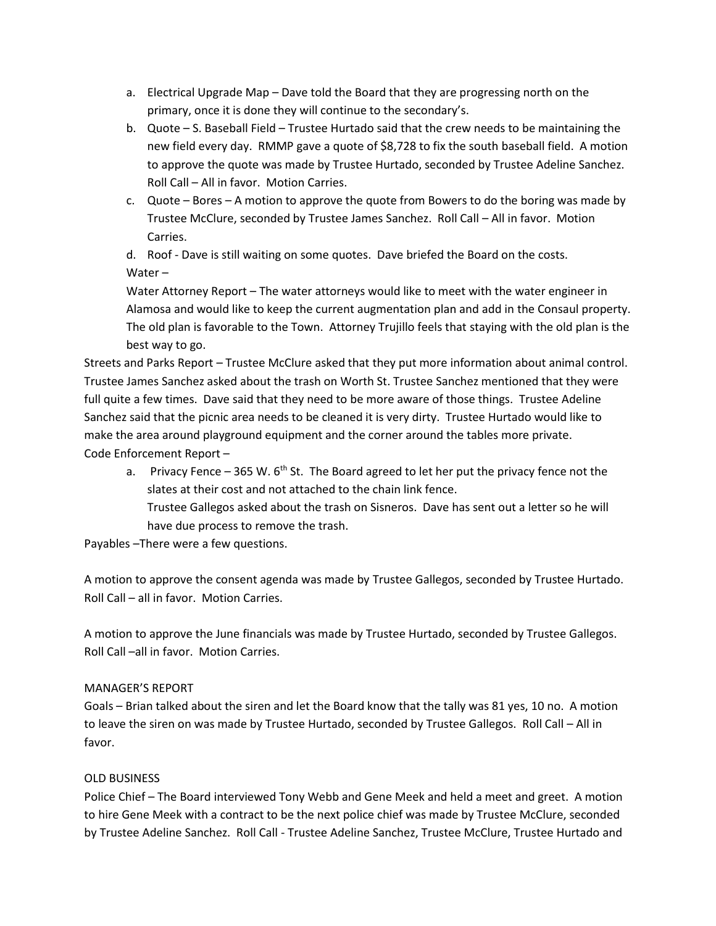- a. Electrical Upgrade Map Dave told the Board that they are progressing north on the primary, once it is done they will continue to the secondary's.
- b. Quote S. Baseball Field Trustee Hurtado said that the crew needs to be maintaining the new field every day. RMMP gave a quote of \$8,728 to fix the south baseball field. A motion to approve the quote was made by Trustee Hurtado, seconded by Trustee Adeline Sanchez. Roll Call – All in favor. Motion Carries.
- c. Quote Bores A motion to approve the quote from Bowers to do the boring was made by Trustee McClure, seconded by Trustee James Sanchez. Roll Call – All in favor. Motion Carries.

d. Roof - Dave is still waiting on some quotes. Dave briefed the Board on the costs. Water –

Water Attorney Report – The water attorneys would like to meet with the water engineer in Alamosa and would like to keep the current augmentation plan and add in the Consaul property. The old plan is favorable to the Town. Attorney Trujillo feels that staying with the old plan is the best way to go.

Streets and Parks Report – Trustee McClure asked that they put more information about animal control. Trustee James Sanchez asked about the trash on Worth St. Trustee Sanchez mentioned that they were full quite a few times. Dave said that they need to be more aware of those things. Trustee Adeline Sanchez said that the picnic area needs to be cleaned it is very dirty. Trustee Hurtado would like to make the area around playground equipment and the corner around the tables more private. Code Enforcement Report –

- a. Privacy Fence 365 W.  $6<sup>th</sup>$  St. The Board agreed to let her put the privacy fence not the slates at their cost and not attached to the chain link fence. Trustee Gallegos asked about the trash on Sisneros. Dave has sent out a letter so he will
	- have due process to remove the trash.

Payables –There were a few questions.

A motion to approve the consent agenda was made by Trustee Gallegos, seconded by Trustee Hurtado. Roll Call – all in favor. Motion Carries.

A motion to approve the June financials was made by Trustee Hurtado, seconded by Trustee Gallegos. Roll Call –all in favor. Motion Carries.

# MANAGER'S REPORT

Goals – Brian talked about the siren and let the Board know that the tally was 81 yes, 10 no. A motion to leave the siren on was made by Trustee Hurtado, seconded by Trustee Gallegos. Roll Call – All in favor.

# OLD BUSINESS

Police Chief – The Board interviewed Tony Webb and Gene Meek and held a meet and greet. A motion to hire Gene Meek with a contract to be the next police chief was made by Trustee McClure, seconded by Trustee Adeline Sanchez. Roll Call - Trustee Adeline Sanchez, Trustee McClure, Trustee Hurtado and